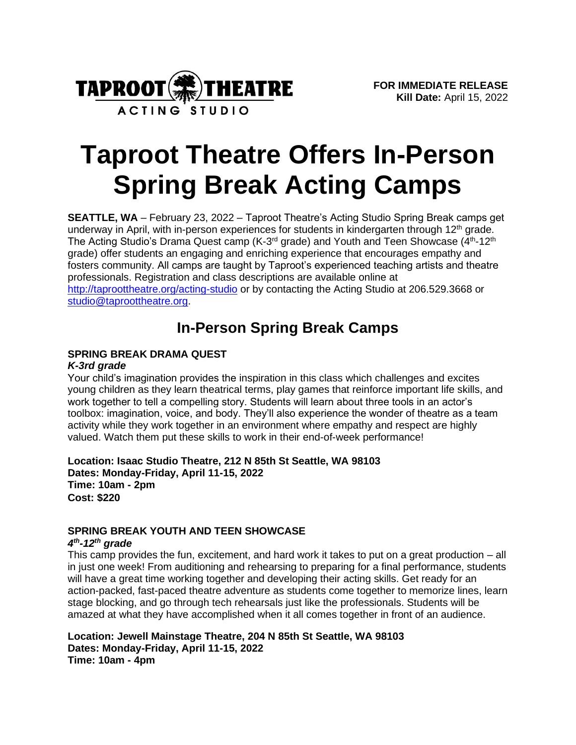

# **Taproot Theatre Offers In-Person Spring Break Acting Camps**

**SEATTLE, WA** – February 23, 2022 – Taproot Theatre's Acting Studio Spring Break camps get underway in April, with in-person experiences for students in kindergarten through 12<sup>th</sup> grade. The Acting Studio's Drama Quest camp (K-3<sup>rd</sup> grade) and Youth and Teen Showcase (4<sup>th</sup>-12<sup>th</sup> grade) offer students an engaging and enriching experience that encourages empathy and fosters community. All camps are taught by Taproot's experienced teaching artists and theatre professionals. Registration and class descriptions are available online at <http://taproottheatre.org/acting-studio> or by contacting the Acting Studio at 206.529.3668 or [studio@taproottheatre.org.](mailto:studio@taproottheatre.org)

## **In-Person Spring Break Camps**

### **SPRING BREAK DRAMA QUEST**

### *K-3rd grade*

Your child's imagination provides the inspiration in this class which challenges and excites young children as they learn theatrical terms, play games that reinforce important life skills, and work together to tell a compelling story. Students will learn about three tools in an actor's toolbox: imagination, voice, and body. They'll also experience the wonder of theatre as a team activity while they work together in an environment where empathy and respect are highly valued. Watch them put these skills to work in their end-of-week performance!

**Location: Isaac Studio Theatre, 212 N 85th St Seattle, WA 98103 Dates: Monday-Friday, April 11-15, 2022 Time: 10am - 2pm Cost: \$220**

# **SPRING BREAK YOUTH AND TEEN SHOWCASE**

### *4 th -12th grade*

This camp provides the fun, excitement, and hard work it takes to put on a great production – all in just one week! From auditioning and rehearsing to preparing for a final performance, students will have a great time working together and developing their acting skills. Get ready for an action-packed, fast-paced theatre adventure as students come together to memorize lines, learn stage blocking, and go through tech rehearsals just like the professionals. Students will be amazed at what they have accomplished when it all comes together in front of an audience.

**Location: Jewell Mainstage Theatre, 204 N 85th St Seattle, WA 98103 Dates: Monday-Friday, April 11-15, 2022 Time: 10am - 4pm**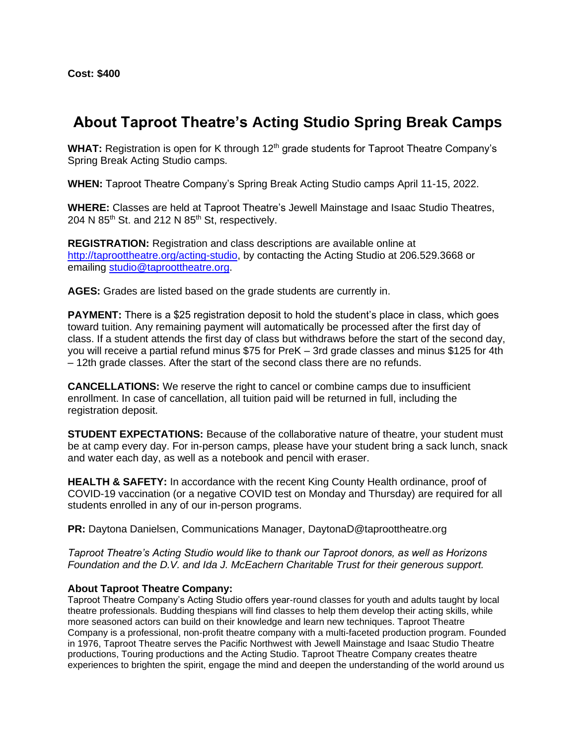**Cost: \$400**

### **About Taproot Theatre's Acting Studio Spring Break Camps**

WHAT: Registration is open for K through 12<sup>th</sup> grade students for Taproot Theatre Company's Spring Break Acting Studio camps.

**WHEN:** Taproot Theatre Company's Spring Break Acting Studio camps April 11-15, 2022.

**WHERE:** Classes are held at Taproot Theatre's Jewell Mainstage and Isaac Studio Theatres, 204 N  $85<sup>th</sup>$  St. and 212 N  $85<sup>th</sup>$  St, respectively.

**REGISTRATION:** Registration and class descriptions are available online at [http://taproottheatre.org/acting-studio,](http://taproottheatre.org/acting-studio) by contacting the Acting Studio at 206.529.3668 or emailing [studio@taproottheatre.org.](mailto:studio@taproottheatre.org)

**AGES:** Grades are listed based on the grade students are currently in.

**PAYMENT:** There is a \$25 registration deposit to hold the student's place in class, which goes toward tuition. Any remaining payment will automatically be processed after the first day of class. If a student attends the first day of class but withdraws before the start of the second day, you will receive a partial refund minus \$75 for PreK – 3rd grade classes and minus \$125 for 4th – 12th grade classes. After the start of the second class there are no refunds.

**CANCELLATIONS:** We reserve the right to cancel or combine camps due to insufficient enrollment. In case of cancellation, all tuition paid will be returned in full, including the registration deposit.

**STUDENT EXPECTATIONS:** Because of the collaborative nature of theatre, your student must be at camp every day. For in-person camps, please have your student bring a sack lunch, snack and water each day, as well as a notebook and pencil with eraser.

**HEALTH & SAFETY:** In accordance with the recent King County Health ordinance, proof of COVID-19 vaccination (or a negative COVID test on Monday and Thursday) are required for all students enrolled in any of our in-person programs.

**PR:** Daytona Danielsen, Communications Manager, DaytonaD@taproottheatre.org

*Taproot Theatre's Acting Studio would like to thank our Taproot donors, as well as Horizons Foundation and the D.V. and Ida J. McEachern Charitable Trust for their generous support.*

#### **About Taproot Theatre Company:**

Taproot Theatre Company's Acting Studio offers year-round classes for youth and adults taught by local theatre professionals. Budding thespians will find classes to help them develop their acting skills, while more seasoned actors can build on their knowledge and learn new techniques. Taproot Theatre Company is a professional, non-profit theatre company with a multi-faceted production program. Founded in 1976, Taproot Theatre serves the Pacific Northwest with Jewell Mainstage and Isaac Studio Theatre productions, Touring productions and the Acting Studio. Taproot Theatre Company creates theatre experiences to brighten the spirit, engage the mind and deepen the understanding of the world around us